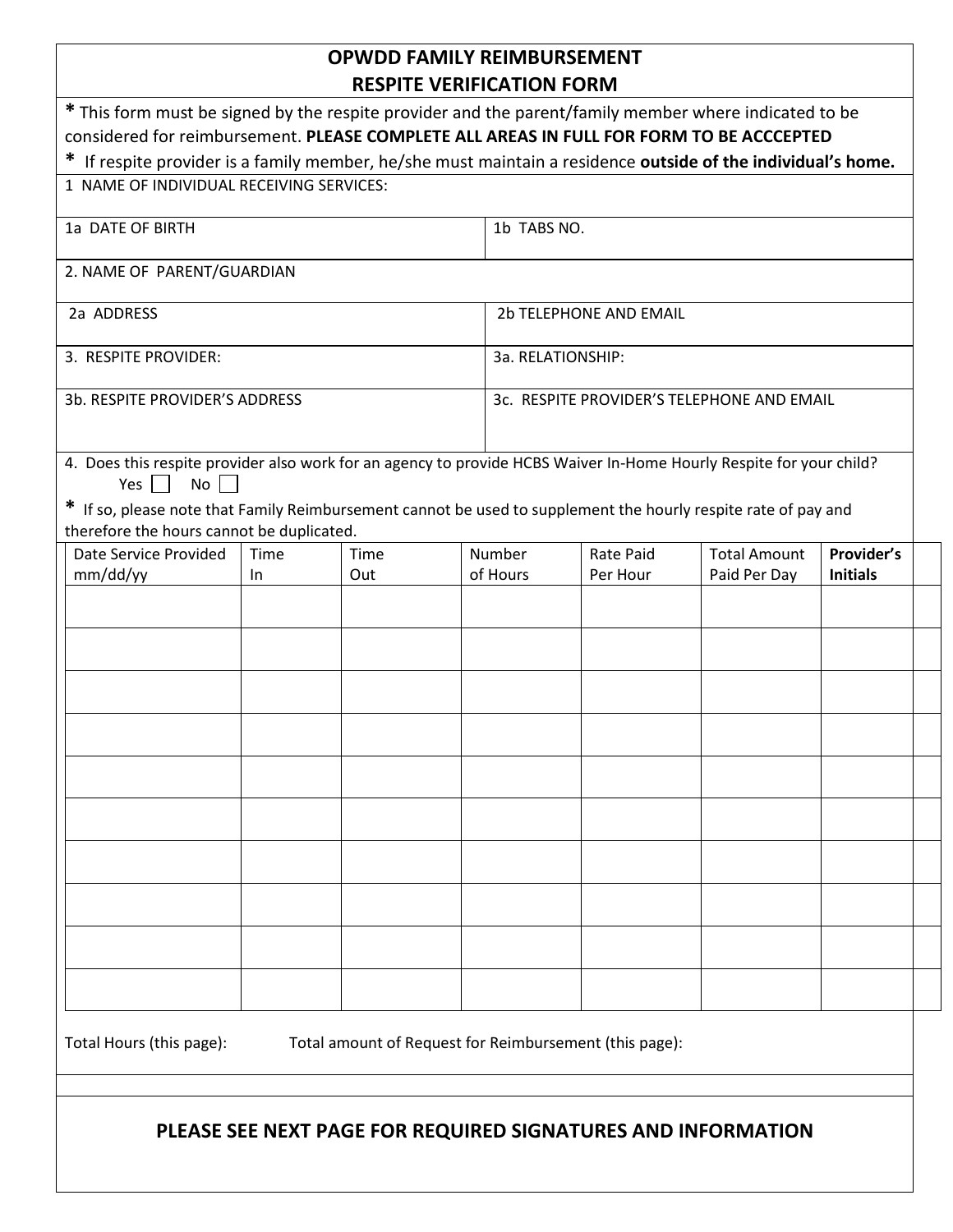## **OPWDD FAMILY REIMBURSEMENT RESPITE VERIFICATION FORM**

| * This form must be signed by the respite provider and the parent/family member where indicated to be                                                       |      |      |  |                                            |                  |                     |                 |  |
|-------------------------------------------------------------------------------------------------------------------------------------------------------------|------|------|--|--------------------------------------------|------------------|---------------------|-----------------|--|
| considered for reimbursement. PLEASE COMPLETE ALL AREAS IN FULL FOR FORM TO BE ACCCEPTED                                                                    |      |      |  |                                            |                  |                     |                 |  |
| * If respite provider is a family member, he/she must maintain a residence outside of the individual's home.                                                |      |      |  |                                            |                  |                     |                 |  |
| 1 NAME OF INDIVIDUAL RECEIVING SERVICES:                                                                                                                    |      |      |  |                                            |                  |                     |                 |  |
| 1a DATE OF BIRTH                                                                                                                                            |      |      |  | 1b TABS NO.                                |                  |                     |                 |  |
| 2. NAME OF PARENT/GUARDIAN                                                                                                                                  |      |      |  |                                            |                  |                     |                 |  |
| 2a ADDRESS                                                                                                                                                  |      |      |  | 2b TELEPHONE AND EMAIL                     |                  |                     |                 |  |
| 3. RESPITE PROVIDER:                                                                                                                                        |      |      |  | 3a. RELATIONSHIP:                          |                  |                     |                 |  |
| 3b. RESPITE PROVIDER'S ADDRESS                                                                                                                              |      |      |  | 3c. RESPITE PROVIDER'S TELEPHONE AND EMAIL |                  |                     |                 |  |
| 4. Does this respite provider also work for an agency to provide HCBS Waiver In-Home Hourly Respite for your child?<br>No<br>Yes                            |      |      |  |                                            |                  |                     |                 |  |
| * If so, please note that Family Reimbursement cannot be used to supplement the hourly respite rate of pay and<br>therefore the hours cannot be duplicated. |      |      |  |                                            |                  |                     |                 |  |
| Date Service Provided                                                                                                                                       | Time | Time |  | Number                                     | <b>Rate Paid</b> | <b>Total Amount</b> | Provider's      |  |
| mm/dd/yy                                                                                                                                                    | In   | Out  |  | of Hours                                   | Per Hour         | Paid Per Day        | <b>Initials</b> |  |
|                                                                                                                                                             |      |      |  |                                            |                  |                     |                 |  |
|                                                                                                                                                             |      |      |  |                                            |                  |                     |                 |  |
|                                                                                                                                                             |      |      |  |                                            |                  |                     |                 |  |
|                                                                                                                                                             |      |      |  |                                            |                  |                     |                 |  |
|                                                                                                                                                             |      |      |  |                                            |                  |                     |                 |  |
|                                                                                                                                                             |      |      |  |                                            |                  |                     |                 |  |
|                                                                                                                                                             |      |      |  |                                            |                  |                     |                 |  |
|                                                                                                                                                             |      |      |  |                                            |                  |                     |                 |  |
|                                                                                                                                                             |      |      |  |                                            |                  |                     |                 |  |
|                                                                                                                                                             |      |      |  |                                            |                  |                     |                 |  |
|                                                                                                                                                             |      |      |  |                                            |                  |                     |                 |  |
|                                                                                                                                                             |      |      |  |                                            |                  |                     |                 |  |
| Total Hours (this page):<br>Total amount of Request for Reimbursement (this page):                                                                          |      |      |  |                                            |                  |                     |                 |  |

## **PLEASE SEE NEXT PAGE FOR REQUIRED SIGNATURES AND INFORMATION**